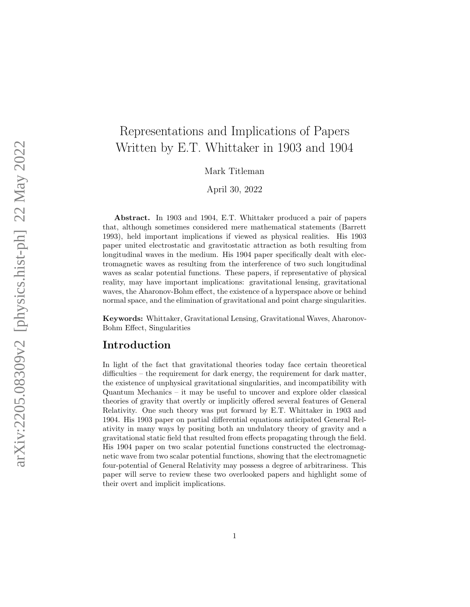# Representations and Implications of Papers Written by E.T. Whittaker in 1903 and 1904

Mark Titleman

April 30, 2022

Abstract. In 1903 and 1904, E.T. Whittaker produced a pair of papers that, although sometimes considered mere mathematical statements (Barrett 1993), held important implications if viewed as physical realities. His 1903 paper united electrostatic and gravitostatic attraction as both resulting from longitudinal waves in the medium. His 1904 paper specifically dealt with electromagnetic waves as resulting from the interference of two such longitudinal waves as scalar potential functions. These papers, if representative of physical reality, may have important implications: gravitational lensing, gravitational waves, the Aharonov-Bohm effect, the existence of a hyperspace above or behind normal space, and the elimination of gravitational and point charge singularities.

Keywords: Whittaker, Gravitational Lensing, Gravitational Waves, Aharonov-Bohm Effect, Singularities

## Introduction

In light of the fact that gravitational theories today face certain theoretical difficulties – the requirement for dark energy, the requirement for dark matter, the existence of unphysical gravitational singularities, and incompatibility with Quantum Mechanics – it may be useful to uncover and explore older classical theories of gravity that overtly or implicitly offered several features of General Relativity. One such theory was put forward by E.T. Whittaker in 1903 and 1904. His 1903 paper on partial differential equations anticipated General Relativity in many ways by positing both an undulatory theory of gravity and a gravitational static field that resulted from effects propagating through the field. His 1904 paper on two scalar potential functions constructed the electromagnetic wave from two scalar potential functions, showing that the electromagnetic four-potential of General Relativity may possess a degree of arbitrariness. This paper will serve to review these two overlooked papers and highlight some of their overt and implicit implications.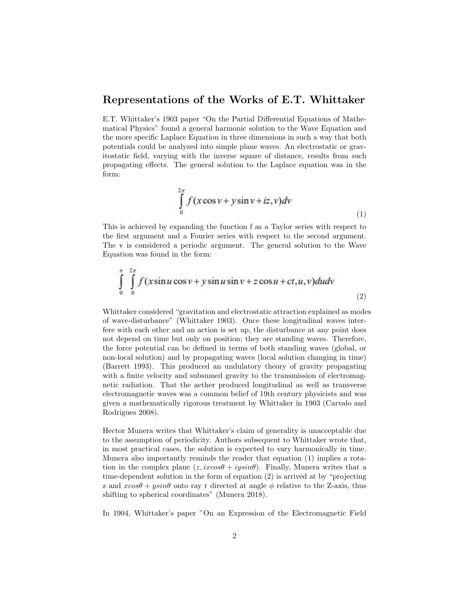#### Representations of the Works of E.T. Whittaker

E.T. Whittaker's 1903 paper "On the Partial Differential Equations of Mathematical Physics" found a general harmonic solution to the Wave Equation and the more specific Laplace Equation in three dimensions in such a way that both potentials could be analyzed into simple plane waves. An electrostatic or gravitostatic field, varying with the inverse square of distance, results from such propagating effects. The general solution to the Laplace equation was in the form:

$$
\int_{0}^{2\pi} f(x\cos v + y\sin v + iz, v)dv
$$
\n(1)

This is achieved by expanding the function f as a Taylor series with respect to the first argument and a Fourier series with respect to the second argument. The v is considered a periodic argument. The general solution to the Wave Equation was found in the form:

$$
\int_{0}^{\pi} \int_{0}^{2\pi} f(x\sin u \cos v + y\sin u \sin v + z\cos u + ct, u, v) du dv
$$
\n(2)

Whittaker considered "gravitation and electrostatic attraction explained as modes of wave-disturbance" (Whittaker 1903). Once these longitudinal waves interfere with each other and an action is set up, the disturbance at any point does not depend on time but only on position; they are standing waves. Therefore, the force potential can be defined in terms of both standing waves (global, or non-local solution) and by propagating waves (local solution changing in time) (Barrett 1993). This produced an undulatory theory of gravity propagating with a finite velocity and subsumed gravity to the transmission of electromagnetic radiation. That the aether produced longitudinal as well as transverse electromagnetic waves was a common belief of 19th century physicists and was given a mathematically rigorous treatment by Whittaker in 1903 (Carvalo and Rodrigues 2008).

Hector Munera writes that Whittaker's claim of generality is unacceptable due to the assumption of periodicity. Authors subsequent to Whittaker wrote that, in most practical cases, the solution is expected to vary harmonically in time. Munera also importantly reminds the reader that equation (1) implies a rotation in the complex plane  $(z, ixcos\theta + iysin\theta)$ . Finally, Munera writes that a time-dependent solution in the form of equation (2) is arrived at by "projecting z and  $xcos\theta + ysin\theta$  onto ray r directed at angle  $\phi$  relative to the Z-axis, thus shifting to spherical coordinates" (Munera 2018).

In 1904, Whittaker's paper "On an Expression of the Electromagnetic Field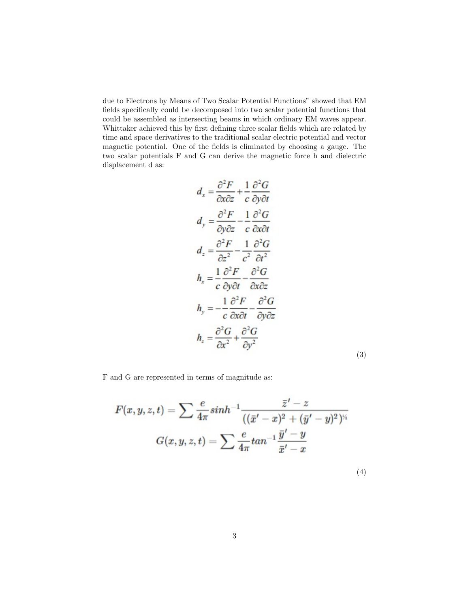due to Electrons by Means of Two Scalar Potential Functions" showed that EM fields specifically could be decomposed into two scalar potential functions that could be assembled as intersecting beams in which ordinary EM waves appear. Whittaker achieved this by first defining three scalar fields which are related by time and space derivatives to the traditional scalar electric potential and vector magnetic potential. One of the fields is eliminated by choosing a gauge. The two scalar potentials F and G can derive the magnetic force h and dielectric displacement d as:

$$
d_x = \frac{\partial^2 F}{\partial x \partial z} + \frac{1}{c} \frac{\partial^2 G}{\partial y \partial t}
$$
  
\n
$$
d_y = \frac{\partial^2 F}{\partial y \partial z} - \frac{1}{c} \frac{\partial^2 G}{\partial x \partial t}
$$
  
\n
$$
d_z = \frac{\partial^2 F}{\partial z^2} - \frac{1}{c^2} \frac{\partial^2 G}{\partial t^2}
$$
  
\n
$$
h_x = \frac{1}{c} \frac{\partial^2 F}{\partial y \partial t} - \frac{\partial^2 G}{\partial x \partial z}
$$
  
\n
$$
h_y = -\frac{1}{c} \frac{\partial^2 F}{\partial x \partial t} - \frac{\partial^2 G}{\partial y \partial z}
$$
  
\n
$$
h_z = \frac{\partial^2 G}{\partial x^2} + \frac{\partial^2 G}{\partial y^2}
$$
  
\n(3)

F and G are represented in terms of magnitude as:

$$
F(x,y,z,t)=\sum \frac{e}{4\pi}sinh^{-1}\frac{\bar{z}'-z}{((\bar{x}'-x)^2+(\bar{y}'-y)^2)^{\gamma_i}}\\[3mm]G(x,y,z,t)=\sum \frac{e}{4\pi}tan^{-1}\frac{\bar{y}'-y}{\bar{x}'-x}\hspace{1.5cm}(4)
$$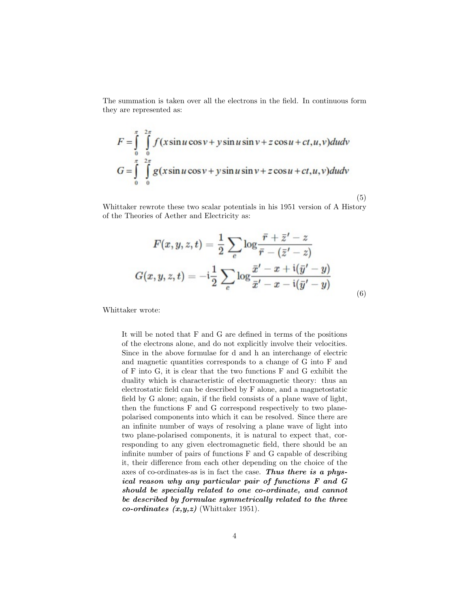The summation is taken over all the electrons in the field. In continuous form they are represented as:

$$
F = \int_{0}^{\pi} \int_{0}^{2\pi} f(x\sin u \cos v + y\sin u \sin v + z\cos u + ct, u, v) du dv
$$
  

$$
G = \int_{0}^{\pi} \int_{0}^{2\pi} g(x\sin u \cos v + y\sin u \sin v + z\cos u + ct, u, v) du dv
$$

Whittaker rewrote these two scalar potentials in his 1951 version of A History of the Theories of Aether and Electricity as:

$$
F(x,y,z,t)=\frac{1}{2}\sum_{e}\log\frac{\bar{r}+\bar{z}'-z}{\bar{r}-(\bar{z}'-z)}
$$
  

$$
G(x,y,z,t)=-\mathrm{i}\frac{1}{2}\sum_{e}\log\frac{\bar{x}'-x+\mathrm{i}(\bar{y}'-y)}{\bar{x}'-x-\mathrm{i}(\bar{y}'-y)}
$$
(6)

(5)

Whittaker wrote:

It will be noted that F and G are defined in terms of the positions of the electrons alone, and do not explicitly involve their velocities. Since in the above formulae for d and h an interchange of electric and magnetic quantities corresponds to a change of G into F and of F into G, it is clear that the two functions F and G exhibit the duality which is characteristic of electromagnetic theory: thus an electrostatic field can be described by F alone, and a magnetostatic field by G alone; again, if the field consists of a plane wave of light, then the functions F and G correspond respectively to two planepolarised components into which it can be resolved. Since there are an infinite number of ways of resolving a plane wave of light into two plane-polarised components, it is natural to expect that, corresponding to any given electromagnetic field, there should be an infinite number of pairs of functions F and G capable of describing it, their difference from each other depending on the choice of the axes of co-ordinates-as is in fact the case. Thus there is a physical reason why any particular pair of functions F and G should be specially related to one co-ordinate, and cannot be described by formulae symmetrically related to the three co-ordinates  $(x,y,z)$  (Whittaker 1951).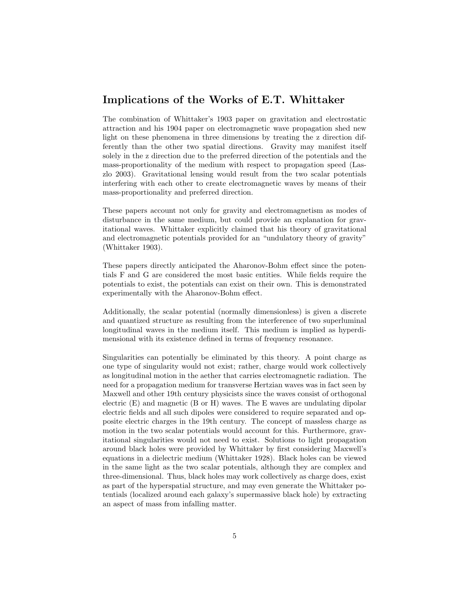## Implications of the Works of E.T. Whittaker

The combination of Whittaker's 1903 paper on gravitation and electrostatic attraction and his 1904 paper on electromagnetic wave propagation shed new light on these phenomena in three dimensions by treating the z direction differently than the other two spatial directions. Gravity may manifest itself solely in the z direction due to the preferred direction of the potentials and the mass-proportionality of the medium with respect to propagation speed (Laszlo 2003). Gravitational lensing would result from the two scalar potentials interfering with each other to create electromagnetic waves by means of their mass-proportionality and preferred direction.

These papers account not only for gravity and electromagnetism as modes of disturbance in the same medium, but could provide an explanation for gravitational waves. Whittaker explicitly claimed that his theory of gravitational and electromagnetic potentials provided for an "undulatory theory of gravity" (Whittaker 1903).

These papers directly anticipated the Aharonov-Bohm effect since the potentials F and G are considered the most basic entities. While fields require the potentials to exist, the potentials can exist on their own. This is demonstrated experimentally with the Aharonov-Bohm effect.

Additionally, the scalar potential (normally dimensionless) is given a discrete and quantized structure as resulting from the interference of two superluminal longitudinal waves in the medium itself. This medium is implied as hyperdimensional with its existence defined in terms of frequency resonance.

Singularities can potentially be eliminated by this theory. A point charge as one type of singularity would not exist; rather, charge would work collectively as longitudinal motion in the aether that carries electromagnetic radiation. The need for a propagation medium for transverse Hertzian waves was in fact seen by Maxwell and other 19th century physicists since the waves consist of orthogonal electric (E) and magnetic (B or H) waves. The E waves are undulating dipolar electric fields and all such dipoles were considered to require separated and opposite electric charges in the 19th century. The concept of massless charge as motion in the two scalar potentials would account for this. Furthermore, gravitational singularities would not need to exist. Solutions to light propagation around black holes were provided by Whittaker by first considering Maxwell's equations in a dielectric medium (Whittaker 1928). Black holes can be viewed in the same light as the two scalar potentials, although they are complex and three-dimensional. Thus, black holes may work collectively as charge does, exist as part of the hyperspatial structure, and may even generate the Whittaker potentials (localized around each galaxy's supermassive black hole) by extracting an aspect of mass from infalling matter.